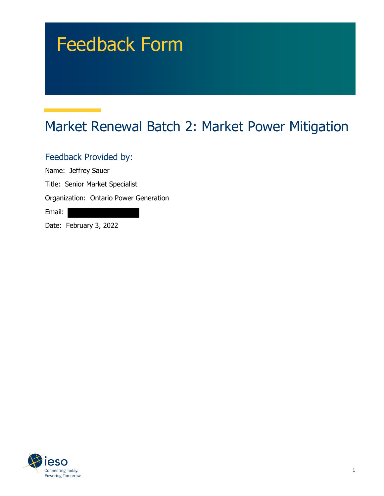# Feedback Form

## Market Renewal Batch 2: Market Power Mitigation

Feedback Provided by:

Name: Jeffrey Sauer

Title: Senior Market Specialist

Organization: Ontario Power Generation

Email:

Date: February 3, 2022

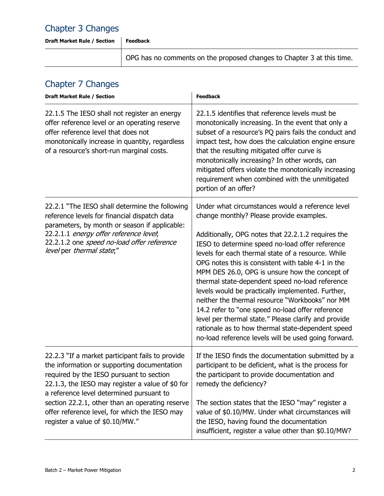#### Chapter 3 Changes

**Draft Market Rule / Section Feedback**

OPG has no comments on the proposed changes to Chapter 3 at this time.

#### Chapter 7 Changes

| <b>Draft Market Rule / Section</b>                                                                                                                                                                                                                                                                                                                                                 | <b>Feedback</b>                                                                                                                                                                                                                                                                                                                                                                                                                                                                                                                                                                                                                                                                                                                                         |
|------------------------------------------------------------------------------------------------------------------------------------------------------------------------------------------------------------------------------------------------------------------------------------------------------------------------------------------------------------------------------------|---------------------------------------------------------------------------------------------------------------------------------------------------------------------------------------------------------------------------------------------------------------------------------------------------------------------------------------------------------------------------------------------------------------------------------------------------------------------------------------------------------------------------------------------------------------------------------------------------------------------------------------------------------------------------------------------------------------------------------------------------------|
| 22.1.5 The IESO shall not register an energy<br>offer reference level or an operating reserve<br>offer reference level that does not<br>monotonically increase in quantity, regardless<br>of a resource's short-run marginal costs.                                                                                                                                                | 22.1.5 identifies that reference levels must be<br>monotonically increasing. In the event that only a<br>subset of a resource's PQ pairs fails the conduct and<br>impact test, how does the calculation engine ensure<br>that the resulting mitigated offer curve is<br>monotonically increasing? In other words, can<br>mitigated offers violate the monotonically increasing<br>requirement when combined with the unmitigated<br>portion of an offer?                                                                                                                                                                                                                                                                                                |
| 22.2.1 "The IESO shall determine the following<br>reference levels for financial dispatch data<br>parameters, by month or season if applicable:<br>22.2.1.1 energy offer reference level;<br>22.2.1.2 one speed no-load offer reference<br>level per thermal state;"                                                                                                               | Under what circumstances would a reference level<br>change monthly? Please provide examples.<br>Additionally, OPG notes that 22.2.1.2 requires the<br>IESO to determine speed no-load offer reference<br>levels for each thermal state of a resource. While<br>OPG notes this is consistent with table 4-1 in the<br>MPM DES 26.0, OPG is unsure how the concept of<br>thermal state-dependent speed no-load reference<br>levels would be practically implemented. Further,<br>neither the thermal resource "Workbooks" nor MM<br>14.2 refer to "one speed no-load offer reference<br>level per thermal state." Please clarify and provide<br>rationale as to how thermal state-dependent speed<br>no-load reference levels will be used going forward. |
| 22.2.3 "If a market participant fails to provide<br>the information or supporting documentation<br>required by the IESO pursuant to section<br>22.1.3, the IESO may register a value of \$0 for<br>a reference level determined pursuant to<br>section 22.2.1, other than an operating reserve<br>offer reference level, for which the IESO may<br>register a value of \$0.10/MW." | If the IESO finds the documentation submitted by a<br>participant to be deficient, what is the process for<br>the participant to provide documentation and<br>remedy the deficiency?<br>The section states that the IESO "may" register a<br>value of \$0.10/MW. Under what circumstances will<br>the IESO, having found the documentation<br>insufficient, register a value other than \$0.10/MW?                                                                                                                                                                                                                                                                                                                                                      |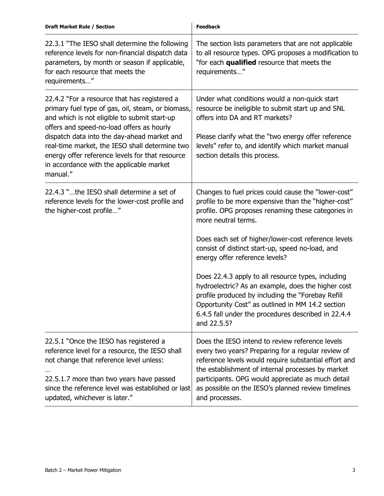| <b>Draft Market Rule / Section</b>                                                                                                                                                                                                                                                                                                                                                                         | <b>Feedback</b>                                                                                                                                                                                                                                                                                                                                                                                                                                                                                                                                                                                                                 |
|------------------------------------------------------------------------------------------------------------------------------------------------------------------------------------------------------------------------------------------------------------------------------------------------------------------------------------------------------------------------------------------------------------|---------------------------------------------------------------------------------------------------------------------------------------------------------------------------------------------------------------------------------------------------------------------------------------------------------------------------------------------------------------------------------------------------------------------------------------------------------------------------------------------------------------------------------------------------------------------------------------------------------------------------------|
| 22.3.1 "The IESO shall determine the following<br>reference levels for non-financial dispatch data<br>parameters, by month or season if applicable,<br>for each resource that meets the<br>requirements"                                                                                                                                                                                                   | The section lists parameters that are not applicable<br>to all resource types. OPG proposes a modification to<br>"for each qualified resource that meets the<br>requirements"                                                                                                                                                                                                                                                                                                                                                                                                                                                   |
| 22.4.2 "For a resource that has registered a<br>primary fuel type of gas, oil, steam, or biomass,<br>and which is not eligible to submit start-up<br>offers and speed-no-load offers as hourly<br>dispatch data into the day-ahead market and<br>real-time market, the IESO shall determine two<br>energy offer reference levels for that resource<br>in accordance with the applicable market<br>manual." | Under what conditions would a non-quick start<br>resource be ineligible to submit start up and SNL<br>offers into DA and RT markets?<br>Please clarify what the "two energy offer reference<br>levels" refer to, and identify which market manual<br>section details this process.                                                                                                                                                                                                                                                                                                                                              |
| 22.4.3 "the IESO shall determine a set of<br>reference levels for the lower-cost profile and<br>the higher-cost profile"                                                                                                                                                                                                                                                                                   | Changes to fuel prices could cause the "lower-cost"<br>profile to be more expensive than the "higher-cost"<br>profile. OPG proposes renaming these categories in<br>more neutral terms.<br>Does each set of higher/lower-cost reference levels<br>consist of distinct start-up, speed no-load, and<br>energy offer reference levels?<br>Does 22.4.3 apply to all resource types, including<br>hydroelectric? As an example, does the higher cost<br>profile produced by including the "Forebay Refill<br>Opportunity Cost" as outlined in MM 14.2 section<br>6.4.5 fall under the procedures described in 22.4.4<br>and 22.5.5? |
| 22.5.1 "Once the IESO has registered a<br>reference level for a resource, the IESO shall<br>not change that reference level unless:<br>22.5.1.7 more than two years have passed<br>since the reference level was established or last<br>updated, whichever is later."                                                                                                                                      | Does the IESO intend to review reference levels<br>every two years? Preparing for a regular review of<br>reference levels would require substantial effort and<br>the establishment of internal processes by market<br>participants. OPG would appreciate as much detail<br>as possible on the IESO's planned review timelines<br>and processes.                                                                                                                                                                                                                                                                                |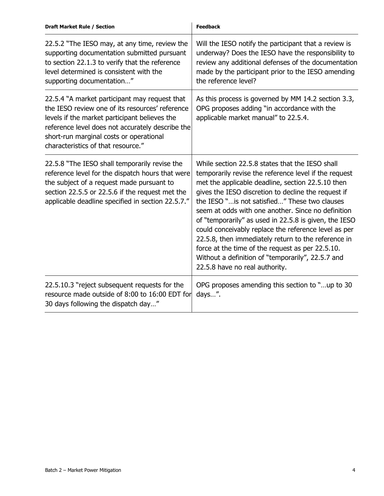| <b>Draft Market Rule / Section</b>                                                                                                                                                                                                                                                     | <b>Feedback</b>                                                                                                                                                                                                                                                                                                                                                                                                                                                                                                                                                                                                                                 |
|----------------------------------------------------------------------------------------------------------------------------------------------------------------------------------------------------------------------------------------------------------------------------------------|-------------------------------------------------------------------------------------------------------------------------------------------------------------------------------------------------------------------------------------------------------------------------------------------------------------------------------------------------------------------------------------------------------------------------------------------------------------------------------------------------------------------------------------------------------------------------------------------------------------------------------------------------|
| 22.5.2 "The IESO may, at any time, review the<br>supporting documentation submitted pursuant<br>to section 22.1.3 to verify that the reference<br>level determined is consistent with the<br>supporting documentation"                                                                 | Will the IESO notify the participant that a review is<br>underway? Does the IESO have the responsibility to<br>review any additional defenses of the documentation<br>made by the participant prior to the IESO amending<br>the reference level?                                                                                                                                                                                                                                                                                                                                                                                                |
| 22.5.4 "A market participant may request that<br>the IESO review one of its resources' reference<br>levels if the market participant believes the<br>reference level does not accurately describe the<br>short-run marginal costs or operational<br>characteristics of that resource." | As this process is governed by MM 14.2 section 3.3,<br>OPG proposes adding "in accordance with the<br>applicable market manual" to 22.5.4.                                                                                                                                                                                                                                                                                                                                                                                                                                                                                                      |
| 22.5.8 "The IESO shall temporarily revise the<br>reference level for the dispatch hours that were<br>the subject of a request made pursuant to<br>section 22.5.5 or 22.5.6 if the request met the<br>applicable deadline specified in section 22.5.7."                                 | While section 22.5.8 states that the IESO shall<br>temporarily revise the reference level if the request<br>met the applicable deadline, section 22.5.10 then<br>gives the IESO discretion to decline the request if<br>the IESO " is not satisfied" These two clauses<br>seem at odds with one another. Since no definition<br>of "temporarily" as used in 22.5.8 is given, the IESO<br>could conceivably replace the reference level as per<br>22.5.8, then immediately return to the reference in<br>force at the time of the request as per 22.5.10.<br>Without a definition of "temporarily", 22.5.7 and<br>22.5.8 have no real authority. |
| 22.5.10.3 "reject subsequent requests for the<br>resource made outside of 8:00 to 16:00 EDT for<br>30 days following the dispatch day"                                                                                                                                                 | OPG proposes amending this section to "up to 30<br>days".                                                                                                                                                                                                                                                                                                                                                                                                                                                                                                                                                                                       |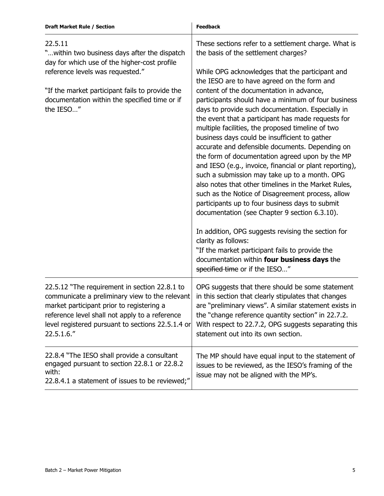| <b>Draft Market Rule / Section</b>                                                                                                                                                                                                                                | <b>Feedback</b>                                                                                                                                                                                                                                                                                                                                                                                                                                                                                                                                                                                                                                                                                                                                                                                                                  |
|-------------------------------------------------------------------------------------------------------------------------------------------------------------------------------------------------------------------------------------------------------------------|----------------------------------------------------------------------------------------------------------------------------------------------------------------------------------------------------------------------------------------------------------------------------------------------------------------------------------------------------------------------------------------------------------------------------------------------------------------------------------------------------------------------------------------------------------------------------------------------------------------------------------------------------------------------------------------------------------------------------------------------------------------------------------------------------------------------------------|
| 22.5.11<br>" within two business days after the dispatch<br>day for which use of the higher-cost profile                                                                                                                                                          | These sections refer to a settlement charge. What is<br>the basis of the settlement charges?                                                                                                                                                                                                                                                                                                                                                                                                                                                                                                                                                                                                                                                                                                                                     |
| reference levels was requested."                                                                                                                                                                                                                                  | While OPG acknowledges that the participant and<br>the IESO are to have agreed on the form and                                                                                                                                                                                                                                                                                                                                                                                                                                                                                                                                                                                                                                                                                                                                   |
| "If the market participant fails to provide the<br>documentation within the specified time or if<br>the IESO"                                                                                                                                                     | content of the documentation in advance,<br>participants should have a minimum of four business<br>days to provide such documentation. Especially in<br>the event that a participant has made requests for<br>multiple facilities, the proposed timeline of two<br>business days could be insufficient to gather<br>accurate and defensible documents. Depending on<br>the form of documentation agreed upon by the MP<br>and IESO (e.g., invoice, financial or plant reporting),<br>such a submission may take up to a month. OPG<br>also notes that other timelines in the Market Rules,<br>such as the Notice of Disagreement process, allow<br>participants up to four business days to submit<br>documentation (see Chapter 9 section 6.3.10).<br>In addition, OPG suggests revising the section for<br>clarity as follows: |
|                                                                                                                                                                                                                                                                   | "If the market participant fails to provide the<br>documentation within four business days the<br>specified time or if the IESO"                                                                                                                                                                                                                                                                                                                                                                                                                                                                                                                                                                                                                                                                                                 |
| 22.5.12 "The requirement in section 22.8.1 to<br>communicate a preliminary view to the relevant<br>market participant prior to registering a<br>reference level shall not apply to a reference<br>level registered pursuant to sections 22.5.1.4 or<br>22.5.1.6." | OPG suggests that there should be some statement<br>in this section that clearly stipulates that changes<br>are "preliminary views". A similar statement exists in<br>the "change reference quantity section" in 22.7.2.<br>With respect to 22.7.2, OPG suggests separating this<br>statement out into its own section.                                                                                                                                                                                                                                                                                                                                                                                                                                                                                                          |
| 22.8.4 "The IESO shall provide a consultant<br>engaged pursuant to section 22.8.1 or 22.8.2<br>with:<br>22.8.4.1 a statement of issues to be reviewed;"                                                                                                           | The MP should have equal input to the statement of<br>issues to be reviewed, as the IESO's framing of the<br>issue may not be aligned with the MP's.                                                                                                                                                                                                                                                                                                                                                                                                                                                                                                                                                                                                                                                                             |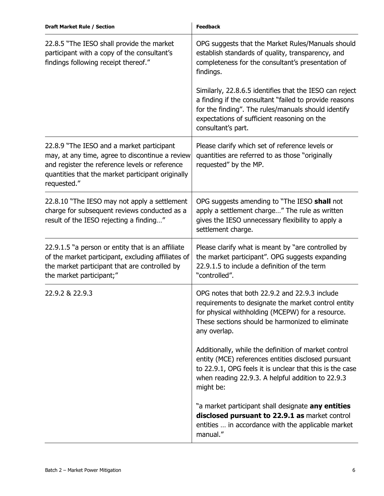| <b>Draft Market Rule / Section</b>                                                                                                                                                                                 | <b>Feedback</b>                                                                                                                                                                                                                               |
|--------------------------------------------------------------------------------------------------------------------------------------------------------------------------------------------------------------------|-----------------------------------------------------------------------------------------------------------------------------------------------------------------------------------------------------------------------------------------------|
| 22.8.5 "The IESO shall provide the market<br>participant with a copy of the consultant's<br>findings following receipt thereof."                                                                                   | OPG suggests that the Market Rules/Manuals should<br>establish standards of quality, transparency, and<br>completeness for the consultant's presentation of<br>findings.                                                                      |
|                                                                                                                                                                                                                    | Similarly, 22.8.6.5 identifies that the IESO can reject<br>a finding if the consultant "failed to provide reasons<br>for the finding". The rules/manuals should identify<br>expectations of sufficient reasoning on the<br>consultant's part. |
| 22.8.9 "The IESO and a market participant<br>may, at any time, agree to discontinue a review<br>and register the reference levels or reference<br>quantities that the market participant originally<br>requested." | Please clarify which set of reference levels or<br>quantities are referred to as those "originally<br>requested" by the MP.                                                                                                                   |
| 22.8.10 "The IESO may not apply a settlement<br>charge for subsequent reviews conducted as a<br>result of the IESO rejecting a finding"                                                                            | OPG suggests amending to "The IESO shall not<br>apply a settlement charge" The rule as written<br>gives the IESO unnecessary flexibility to apply a<br>settlement charge.                                                                     |
| 22.9.1.5 "a person or entity that is an affiliate<br>of the market participant, excluding affiliates of<br>the market participant that are controlled by<br>the market participant;"                               | Please clarify what is meant by "are controlled by<br>the market participant". OPG suggests expanding<br>22.9.1.5 to include a definition of the term<br>"controlled".                                                                        |
| 22.9.2 & 22.9.3                                                                                                                                                                                                    | OPG notes that both 22.9.2 and 22.9.3 include<br>requirements to designate the market control entity<br>for physical withholding (MCEPW) for a resource.<br>These sections should be harmonized to eliminate<br>any overlap.                  |
|                                                                                                                                                                                                                    | Additionally, while the definition of market control<br>entity (MCE) references entities disclosed pursuant<br>to 22.9.1, OPG feels it is unclear that this is the case<br>when reading 22.9.3. A helpful addition to 22.9.3<br>might be:     |
|                                                                                                                                                                                                                    | "a market participant shall designate any entities<br>disclosed pursuant to 22.9.1 as market control<br>entities  in accordance with the applicable market<br>manual."                                                                        |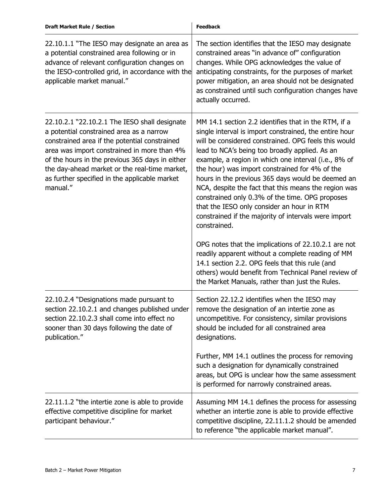| 22.10.1.1 "The IESO may designate an area as<br>a potential constrained area following or in<br>advance of relevant configuration changes on<br>the IESO-controlled grid, in accordance with the<br>applicable market manual."                                                                                                                             | The section identifies that the IESO may designate<br>constrained areas "in advance of" configuration<br>changes. While OPG acknowledges the value of<br>anticipating constraints, for the purposes of market<br>power mitigation, an area should not be designated<br>as constrained until such configuration changes have<br>actually occurred.                                                                                                                                                                                                                                                                        |
|------------------------------------------------------------------------------------------------------------------------------------------------------------------------------------------------------------------------------------------------------------------------------------------------------------------------------------------------------------|--------------------------------------------------------------------------------------------------------------------------------------------------------------------------------------------------------------------------------------------------------------------------------------------------------------------------------------------------------------------------------------------------------------------------------------------------------------------------------------------------------------------------------------------------------------------------------------------------------------------------|
| 22.10.2.1 "22.10.2.1 The IESO shall designate<br>a potential constrained area as a narrow<br>constrained area if the potential constrained<br>area was import constrained in more than 4%<br>of the hours in the previous 365 days in either<br>the day-ahead market or the real-time market,<br>as further specified in the applicable market<br>manual." | MM 14.1 section 2.2 identifies that in the RTM, if a<br>single interval is import constrained, the entire hour<br>will be considered constrained. OPG feels this would<br>lead to NCA's being too broadly applied. As an<br>example, a region in which one interval (i.e., 8% of<br>the hour) was import constrained for 4% of the<br>hours in the previous 365 days would be deemed an<br>NCA, despite the fact that this means the region was<br>constrained only 0.3% of the time. OPG proposes<br>that the IESO only consider an hour in RTM<br>constrained if the majority of intervals were import<br>constrained. |
|                                                                                                                                                                                                                                                                                                                                                            | OPG notes that the implications of 22.10.2.1 are not<br>readily apparent without a complete reading of MM<br>14.1 section 2.2. OPG feels that this rule (and<br>others) would benefit from Technical Panel review of<br>the Market Manuals, rather than just the Rules.                                                                                                                                                                                                                                                                                                                                                  |
| 22.10.2.4 "Designations made pursuant to<br>section 22.10.2.1 and changes published under<br>section 22.10.2.3 shall come into effect no<br>sooner than 30 days following the date of<br>publication."                                                                                                                                                     | Section 22.12.2 identifies when the IESO may<br>remove the designation of an intertie zone as<br>uncompetitive. For consistency, similar provisions<br>should be included for all constrained area<br>designations.                                                                                                                                                                                                                                                                                                                                                                                                      |
|                                                                                                                                                                                                                                                                                                                                                            | Further, MM 14.1 outlines the process for removing<br>such a designation for dynamically constrained<br>areas, but OPG is unclear how the same assessment<br>is performed for narrowly constrained areas.                                                                                                                                                                                                                                                                                                                                                                                                                |
| 22.11.1.2 "the intertie zone is able to provide<br>effective competitive discipline for market<br>participant behaviour."                                                                                                                                                                                                                                  | Assuming MM 14.1 defines the process for assessing<br>whether an intertie zone is able to provide effective<br>competitive discipline, 22.11.1.2 should be amended<br>to reference "the applicable market manual".                                                                                                                                                                                                                                                                                                                                                                                                       |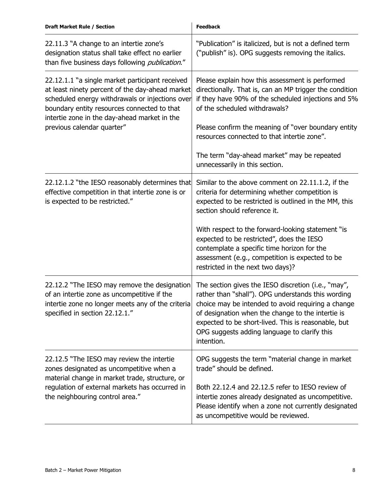| <b>Draft Market Rule / Section</b>                                                                                                                                                                                                                                                 | <b>Feedback</b>                                                                                                                                                                                                                                                                                                                           |
|------------------------------------------------------------------------------------------------------------------------------------------------------------------------------------------------------------------------------------------------------------------------------------|-------------------------------------------------------------------------------------------------------------------------------------------------------------------------------------------------------------------------------------------------------------------------------------------------------------------------------------------|
| 22.11.3 "A change to an intertie zone's<br>designation status shall take effect no earlier<br>than five business days following <i>publication."</i>                                                                                                                               | "Publication" is italicized, but is not a defined term<br>("publish" is). OPG suggests removing the italics.                                                                                                                                                                                                                              |
| 22.12.1.1 "a single market participant received<br>at least ninety percent of the day-ahead market<br>scheduled energy withdrawals or injections over<br>boundary entity resources connected to that<br>intertie zone in the day-ahead market in the<br>previous calendar quarter" | Please explain how this assessment is performed<br>directionally. That is, can an MP trigger the condition<br>if they have 90% of the scheduled injections and 5%<br>of the scheduled withdrawals?                                                                                                                                        |
|                                                                                                                                                                                                                                                                                    | Please confirm the meaning of "over boundary entity<br>resources connected to that intertie zone".                                                                                                                                                                                                                                        |
|                                                                                                                                                                                                                                                                                    | The term "day-ahead market" may be repeated<br>unnecessarily in this section.                                                                                                                                                                                                                                                             |
| 22.12.1.2 "the IESO reasonably determines that<br>effective competition in that intertie zone is or<br>is expected to be restricted."                                                                                                                                              | Similar to the above comment on 22.11.1.2, if the<br>criteria for determining whether competition is<br>expected to be restricted is outlined in the MM, this<br>section should reference it.                                                                                                                                             |
|                                                                                                                                                                                                                                                                                    | With respect to the forward-looking statement "is<br>expected to be restricted", does the IESO<br>contemplate a specific time horizon for the<br>assessment (e.g., competition is expected to be<br>restricted in the next two days)?                                                                                                     |
| 22.12.2 "The IESO may remove the designation<br>of an intertie zone as uncompetitive if the<br>intertie zone no longer meets any of the criteria<br>specified in section 22.12.1."                                                                                                 | The section gives the IESO discretion (i.e., "may",<br>rather than "shall"). OPG understands this wording<br>choice may be intended to avoid requiring a change<br>of designation when the change to the intertie is<br>expected to be short-lived. This is reasonable, but<br>OPG suggests adding language to clarify this<br>intention. |
| 22.12.5 "The IESO may review the intertie<br>zones designated as uncompetitive when a<br>material change in market trade, structure, or<br>regulation of external markets has occurred in<br>the neighbouring control area."                                                       | OPG suggests the term "material change in market<br>trade" should be defined.                                                                                                                                                                                                                                                             |
|                                                                                                                                                                                                                                                                                    | Both 22.12.4 and 22.12.5 refer to IESO review of<br>intertie zones already designated as uncompetitive.<br>Please identify when a zone not currently designated<br>as uncompetitive would be reviewed.                                                                                                                                    |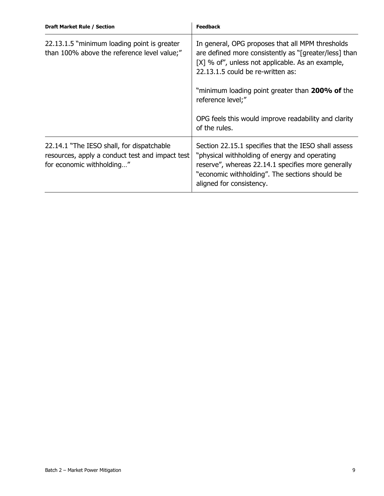| <b>Draft Market Rule / Section</b>                                                                                        | <b>Feedback</b>                                                                                                                                                                                                                           |
|---------------------------------------------------------------------------------------------------------------------------|-------------------------------------------------------------------------------------------------------------------------------------------------------------------------------------------------------------------------------------------|
| 22.13.1.5 "minimum loading point is greater<br>than 100% above the reference level value;"                                | In general, OPG proposes that all MPM thresholds<br>are defined more consistently as "[greater/less] than<br>[X] % of", unless not applicable. As an example,<br>22.13.1.5 could be re-written as:                                        |
|                                                                                                                           | "minimum loading point greater than 200% of the<br>reference level;"                                                                                                                                                                      |
|                                                                                                                           | OPG feels this would improve readability and clarity<br>of the rules.                                                                                                                                                                     |
| 22.14.1 "The IESO shall, for dispatchable<br>resources, apply a conduct test and impact test<br>for economic withholding" | Section 22.15.1 specifies that the IESO shall assess<br>"physical withholding of energy and operating<br>reserve", whereas 22.14.1 specifies more generally<br>"economic withholding". The sections should be<br>aligned for consistency. |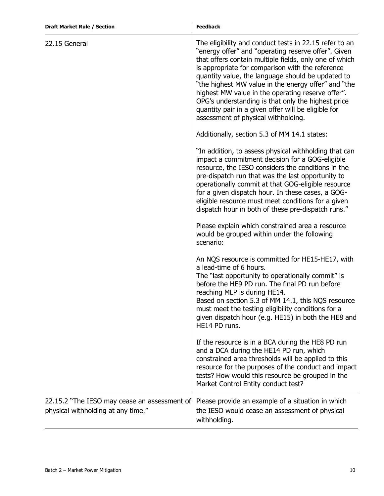| <b>Draft Market Rule / Section</b>                                                 | <b>Feedback</b>                                                                                                                                                                                                                                                                                                                                                                                                                                                                                                                                  |
|------------------------------------------------------------------------------------|--------------------------------------------------------------------------------------------------------------------------------------------------------------------------------------------------------------------------------------------------------------------------------------------------------------------------------------------------------------------------------------------------------------------------------------------------------------------------------------------------------------------------------------------------|
| 22.15 General                                                                      | The eligibility and conduct tests in 22.15 refer to an<br>"energy offer" and "operating reserve offer". Given<br>that offers contain multiple fields, only one of which<br>is appropriate for comparison with the reference<br>quantity value, the language should be updated to<br>"the highest MW value in the energy offer" and "the<br>highest MW value in the operating reserve offer".<br>OPG's understanding is that only the highest price<br>quantity pair in a given offer will be eligible for<br>assessment of physical withholding. |
|                                                                                    | Additionally, section 5.3 of MM 14.1 states:                                                                                                                                                                                                                                                                                                                                                                                                                                                                                                     |
|                                                                                    | "In addition, to assess physical withholding that can<br>impact a commitment decision for a GOG-eligible<br>resource, the IESO considers the conditions in the<br>pre-dispatch run that was the last opportunity to<br>operationally commit at that GOG-eligible resource<br>for a given dispatch hour. In these cases, a GOG-<br>eligible resource must meet conditions for a given<br>dispatch hour in both of these pre-dispatch runs."                                                                                                       |
|                                                                                    | Please explain which constrained area a resource<br>would be grouped within under the following<br>scenario:                                                                                                                                                                                                                                                                                                                                                                                                                                     |
|                                                                                    | An NQS resource is committed for HE15-HE17, with<br>a lead-time of 6 hours.<br>The "last opportunity to operationally commit" is<br>before the HE9 PD run. The final PD run before<br>reaching MLP is during HE14.<br>Based on section 5.3 of MM 14.1, this NQS resource<br>must meet the testing eligibility conditions for a<br>given dispatch hour (e.g. HE15) in both the HE8 and<br>HE14 PD runs.                                                                                                                                           |
|                                                                                    | If the resource is in a BCA during the HE8 PD run<br>and a DCA during the HE14 PD run, which<br>constrained area thresholds will be applied to this<br>resource for the purposes of the conduct and impact<br>tests? How would this resource be grouped in the<br>Market Control Entity conduct test?                                                                                                                                                                                                                                            |
| 22.15.2 "The IESO may cease an assessment of<br>physical withholding at any time." | Please provide an example of a situation in which<br>the IESO would cease an assessment of physical<br>withholding.                                                                                                                                                                                                                                                                                                                                                                                                                              |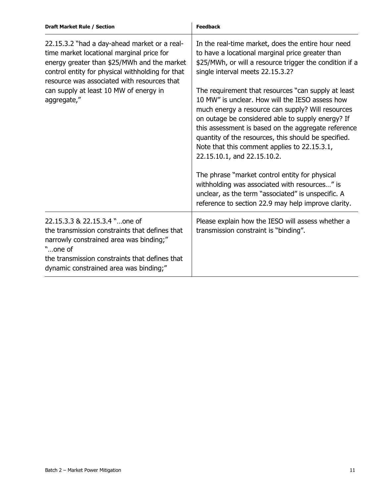| <b>Draft Market Rule / Section</b>                                                                                                                                                                                                                                                                   | <b>Feedback</b>                                                                                                                                                                                                                                                                                                                                                                                                |
|------------------------------------------------------------------------------------------------------------------------------------------------------------------------------------------------------------------------------------------------------------------------------------------------------|----------------------------------------------------------------------------------------------------------------------------------------------------------------------------------------------------------------------------------------------------------------------------------------------------------------------------------------------------------------------------------------------------------------|
| 22.15.3.2 "had a day-ahead market or a real-<br>time market locational marginal price for<br>energy greater than \$25/MWh and the market<br>control entity for physical withholding for that<br>resource was associated with resources that<br>can supply at least 10 MW of energy in<br>aggregate," | In the real-time market, does the entire hour need<br>to have a locational marginal price greater than<br>\$25/MWh, or will a resource trigger the condition if a<br>single interval meets 22.15.3.2?                                                                                                                                                                                                          |
|                                                                                                                                                                                                                                                                                                      | The requirement that resources "can supply at least<br>10 MW" is unclear. How will the IESO assess how<br>much energy a resource can supply? Will resources<br>on outage be considered able to supply energy? If<br>this assessment is based on the aggregate reference<br>quantity of the resources, this should be specified.<br>Note that this comment applies to 22.15.3.1,<br>22.15.10.1, and 22.15.10.2. |
|                                                                                                                                                                                                                                                                                                      | The phrase "market control entity for physical<br>withholding was associated with resources" is<br>unclear, as the term "associated" is unspecific. A<br>reference to section 22.9 may help improve clarity.                                                                                                                                                                                                   |
| 22.15.3.3 & 22.15.3.4 "one of<br>the transmission constraints that defines that<br>narrowly constrained area was binding;"<br>"one of<br>the transmission constraints that defines that<br>dynamic constrained area was binding;"                                                                    | Please explain how the IESO will assess whether a<br>transmission constraint is "binding".                                                                                                                                                                                                                                                                                                                     |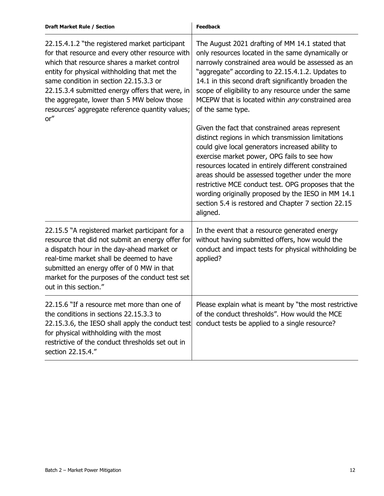| <b>Draft Market Rule / Section</b>                                                                                                                                                                                                                                                                                                                                                                     | <b>Feedback</b>                                                                                                                                                                                                                                                                                                                                                                                                                                                                                     |
|--------------------------------------------------------------------------------------------------------------------------------------------------------------------------------------------------------------------------------------------------------------------------------------------------------------------------------------------------------------------------------------------------------|-----------------------------------------------------------------------------------------------------------------------------------------------------------------------------------------------------------------------------------------------------------------------------------------------------------------------------------------------------------------------------------------------------------------------------------------------------------------------------------------------------|
| 22.15.4.1.2 "the registered market participant<br>for that resource and every other resource with<br>which that resource shares a market control<br>entity for physical withholding that met the<br>same condition in section 22.15.3.3 or<br>22.15.3.4 submitted energy offers that were, in<br>the aggregate, lower than 5 MW below those<br>resources' aggregate reference quantity values;<br>or'' | The August 2021 drafting of MM 14.1 stated that<br>only resources located in the same dynamically or<br>narrowly constrained area would be assessed as an<br>"aggregate" according to 22.15.4.1.2. Updates to<br>14.1 in this second draft significantly broaden the<br>scope of eligibility to any resource under the same<br>MCEPW that is located within any constrained area<br>of the same type.                                                                                               |
|                                                                                                                                                                                                                                                                                                                                                                                                        | Given the fact that constrained areas represent<br>distinct regions in which transmission limitations<br>could give local generators increased ability to<br>exercise market power, OPG fails to see how<br>resources located in entirely different constrained<br>areas should be assessed together under the more<br>restrictive MCE conduct test. OPG proposes that the<br>wording originally proposed by the IESO in MM 14.1<br>section 5.4 is restored and Chapter 7 section 22.15<br>aligned. |
| 22.15.5 "A registered market participant for a<br>resource that did not submit an energy offer for<br>a dispatch hour in the day-ahead market or<br>real-time market shall be deemed to have<br>submitted an energy offer of 0 MW in that<br>market for the purposes of the conduct test set<br>out in this section."                                                                                  | In the event that a resource generated energy<br>without having submitted offers, how would the<br>conduct and impact tests for physical withholding be<br>applied?                                                                                                                                                                                                                                                                                                                                 |
| 22.15.6 "If a resource met more than one of<br>the conditions in sections 22.15.3.3 to<br>22.15.3.6, the IESO shall apply the conduct test<br>for physical withholding with the most<br>restrictive of the conduct thresholds set out in<br>section 22.15.4."                                                                                                                                          | Please explain what is meant by "the most restrictive<br>of the conduct thresholds". How would the MCE<br>conduct tests be applied to a single resource?                                                                                                                                                                                                                                                                                                                                            |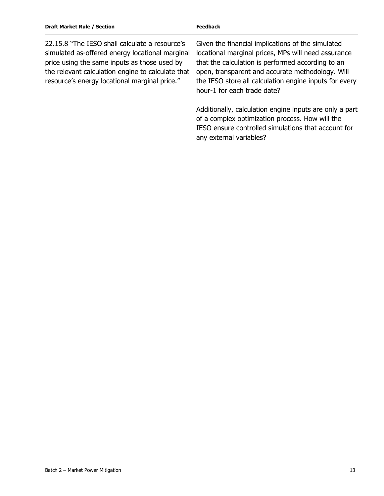| <b>Draft Market Rule / Section</b>                                                                                                                                                                                                                      | <b>Feedback</b>                                                                                                                                                                                                                                                                                            |
|---------------------------------------------------------------------------------------------------------------------------------------------------------------------------------------------------------------------------------------------------------|------------------------------------------------------------------------------------------------------------------------------------------------------------------------------------------------------------------------------------------------------------------------------------------------------------|
| 22.15.8 "The IESO shall calculate a resource's<br>simulated as-offered energy locational marginal<br>price using the same inputs as those used by<br>the relevant calculation engine to calculate that<br>resource's energy locational marginal price." | Given the financial implications of the simulated<br>locational marginal prices, MPs will need assurance<br>that the calculation is performed according to an<br>open, transparent and accurate methodology. Will<br>the IESO store all calculation engine inputs for every<br>hour-1 for each trade date? |
|                                                                                                                                                                                                                                                         | Additionally, calculation engine inputs are only a part<br>of a complex optimization process. How will the<br>IESO ensure controlled simulations that account for<br>any external variables?                                                                                                               |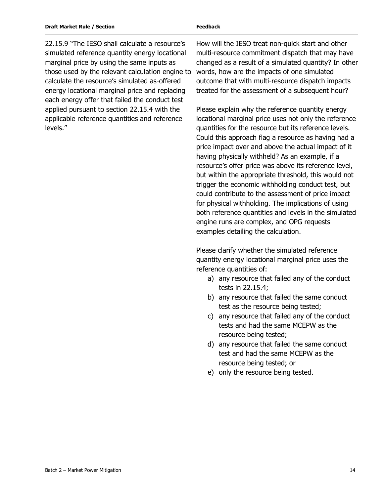22.15.9 "The IESO shall calculate a resource's simulated reference quantity energy locational marginal price by using the same inputs as those used by the relevant calculation engine to calculate the resource's simulated as-offered energy locational marginal price and replacing each energy offer that failed the conduct test applied pursuant to section 22.15.4 with the applicable reference quantities and reference levels."

How will the IESO treat non-quick start and other multi-resource commitment dispatch that may have changed as a result of a simulated quantity? In other words, how are the impacts of one simulated outcome that with multi-resource dispatch impacts treated for the assessment of a subsequent hour?

Please explain why the reference quantity energy locational marginal price uses not only the reference quantities for the resource but its reference levels. Could this approach flag a resource as having had a price impact over and above the actual impact of it having physically withheld? As an example, if a resource's offer price was above its reference level, but within the appropriate threshold, this would not trigger the economic withholding conduct test, but could contribute to the assessment of price impact for physical withholding. The implications of using both reference quantities and levels in the simulated engine runs are complex, and OPG requests examples detailing the calculation.

Please clarify whether the simulated reference quantity energy locational marginal price uses the reference quantities of:

- a) any resource that failed any of the conduct tests in 22.15.4;
- b) any resource that failed the same conduct test as the resource being tested;
- c) any resource that failed any of the conduct tests and had the same MCEPW as the resource being tested;
- d) any resource that failed the same conduct test and had the same MCEPW as the resource being tested; or
- e) only the resource being tested.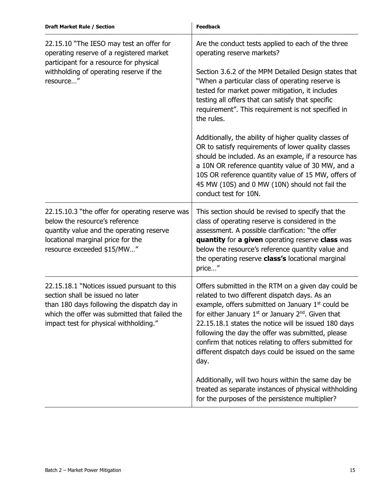| <b>Draft Market Rule / Section</b>                                                                                                                                                                                        | <b>Feedback</b>                                                                                                                                                                                                                                                                                                                                                                                                                                                                                                                                                                                                                                                                                                                          |
|---------------------------------------------------------------------------------------------------------------------------------------------------------------------------------------------------------------------------|------------------------------------------------------------------------------------------------------------------------------------------------------------------------------------------------------------------------------------------------------------------------------------------------------------------------------------------------------------------------------------------------------------------------------------------------------------------------------------------------------------------------------------------------------------------------------------------------------------------------------------------------------------------------------------------------------------------------------------------|
| 22.15.10 "The IESO may test an offer for<br>operating reserve of a registered market<br>participant for a resource for physical<br>withholding of operating reserve if the<br>resource"                                   | Are the conduct tests applied to each of the three<br>operating reserve markets?<br>Section 3.6.2 of the MPM Detailed Design states that<br>"When a particular class of operating reserve is<br>tested for market power mitigation, it includes<br>testing all offers that can satisfy that specific<br>requirement". This requirement is not specified in<br>the rules.<br>Additionally, the ability of higher quality classes of<br>OR to satisfy requirements of lower quality classes<br>should be included. As an example, if a resource has<br>a 10N OR reference quantity value of 30 MW, and a<br>10S OR reference quantity value of 15 MW, offers of<br>45 MW (10S) and 0 MW (10N) should not fail the<br>conduct test for 10N. |
| 22.15.10.3 "the offer for operating reserve was<br>below the resource's reference<br>quantity value and the operating reserve<br>locational marginal price for the<br>resource exceeded \$15/MW"                          | This section should be revised to specify that the<br>class of operating reserve is considered in the<br>assessment. A possible clarification: "the offer<br>quantity for a given operating reserve class was<br>below the resource's reference quantity value and<br>the operating reserve class's locational marginal<br>price"                                                                                                                                                                                                                                                                                                                                                                                                        |
| 22.15.18.1 "Notices issued pursuant to this<br>section shall be issued no later<br>than 180 days following the dispatch day in<br>which the offer was submitted that failed the<br>impact test for physical withholding." | Offers submitted in the RTM on a given day could be<br>related to two different dispatch days. As an<br>example, offers submitted on January 1 <sup>st</sup> could be<br>for either January $1st$ or January $2nd$ . Given that<br>22.15.18.1 states the notice will be issued 180 days<br>following the day the offer was submitted, please<br>confirm that notices relating to offers submitted for<br>different dispatch days could be issued on the same<br>day.                                                                                                                                                                                                                                                                     |
|                                                                                                                                                                                                                           | Additionally, will two hours within the same day be<br>treated as separate instances of physical withholding<br>for the purposes of the persistence multiplier?                                                                                                                                                                                                                                                                                                                                                                                                                                                                                                                                                                          |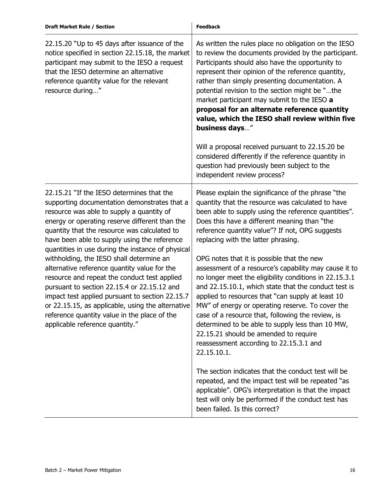| <b>Draft Market Rule / Section</b>                                                                                                                                                                                                                                                                                                                                                                                                                                                                                                                                                                                                                                                                                                  | <b>Feedback</b>                                                                                                                                                                                                                                                                                                                                                                                                                                                                                                                                                                                           |
|-------------------------------------------------------------------------------------------------------------------------------------------------------------------------------------------------------------------------------------------------------------------------------------------------------------------------------------------------------------------------------------------------------------------------------------------------------------------------------------------------------------------------------------------------------------------------------------------------------------------------------------------------------------------------------------------------------------------------------------|-----------------------------------------------------------------------------------------------------------------------------------------------------------------------------------------------------------------------------------------------------------------------------------------------------------------------------------------------------------------------------------------------------------------------------------------------------------------------------------------------------------------------------------------------------------------------------------------------------------|
| 22.15.20 "Up to 45 days after issuance of the<br>notice specified in section 22.15.18, the market<br>participant may submit to the IESO a request<br>that the IESO determine an alternative<br>reference quantity value for the relevant<br>resource during"                                                                                                                                                                                                                                                                                                                                                                                                                                                                        | As written the rules place no obligation on the IESO<br>to review the documents provided by the participant.<br>Participants should also have the opportunity to<br>represent their opinion of the reference quantity,<br>rather than simply presenting documentation. A<br>potential revision to the section might be "the<br>market participant may submit to the IESO a<br>proposal for an alternate reference quantity<br>value, which the IESO shall review within five<br>business days"<br>Will a proposal received pursuant to 22.15.20 be<br>considered differently if the reference quantity in |
|                                                                                                                                                                                                                                                                                                                                                                                                                                                                                                                                                                                                                                                                                                                                     | question had previously been subject to the<br>independent review process?                                                                                                                                                                                                                                                                                                                                                                                                                                                                                                                                |
| 22.15.21 "If the IESO determines that the<br>supporting documentation demonstrates that a<br>resource was able to supply a quantity of<br>energy or operating reserve different than the<br>quantity that the resource was calculated to<br>have been able to supply using the reference<br>quantities in use during the instance of physical<br>withholding, the IESO shall determine an<br>alternative reference quantity value for the<br>resource and repeat the conduct test applied<br>pursuant to section 22.15.4 or 22.15.12 and<br>impact test applied pursuant to section 22.15.7<br>or 22.15.15, as applicable, using the alternative<br>reference quantity value in the place of the<br>applicable reference quantity." | Please explain the significance of the phrase "the<br>quantity that the resource was calculated to have<br>been able to supply using the reference quantities".<br>Does this have a different meaning than "the<br>reference quantity value"? If not, OPG suggests<br>replacing with the latter phrasing.                                                                                                                                                                                                                                                                                                 |
|                                                                                                                                                                                                                                                                                                                                                                                                                                                                                                                                                                                                                                                                                                                                     | OPG notes that it is possible that the new<br>assessment of a resource's capability may cause it to<br>no longer meet the eligibility conditions in 22.15.3.1<br>and 22.15.10.1, which state that the conduct test is<br>applied to resources that "can supply at least 10<br>MW" of energy or operating reserve. To cover the<br>case of a resource that, following the review, is<br>determined to be able to supply less than 10 MW,<br>22.15.21 should be amended to require<br>reassessment according to 22.15.3.1 and<br>22.15.10.1.                                                                |
|                                                                                                                                                                                                                                                                                                                                                                                                                                                                                                                                                                                                                                                                                                                                     | The section indicates that the conduct test will be<br>repeated, and the impact test will be repeated "as<br>applicable". OPG's interpretation is that the impact<br>test will only be performed if the conduct test has<br>been failed. Is this correct?                                                                                                                                                                                                                                                                                                                                                 |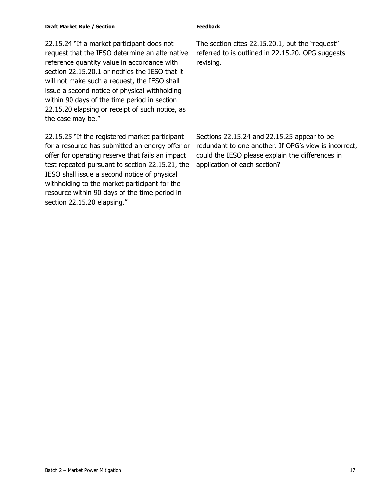| <b>Draft Market Rule / Section</b>                                                                                                                                                                                                                                                                                                                                                                                      | <b>Feedback</b>                                                                                                                                                                          |  |
|-------------------------------------------------------------------------------------------------------------------------------------------------------------------------------------------------------------------------------------------------------------------------------------------------------------------------------------------------------------------------------------------------------------------------|------------------------------------------------------------------------------------------------------------------------------------------------------------------------------------------|--|
| 22.15.24 "If a market participant does not<br>request that the IESO determine an alternative<br>reference quantity value in accordance with<br>section 22.15.20.1 or notifies the IESO that it<br>will not make such a request, the IESO shall<br>issue a second notice of physical withholding<br>within 90 days of the time period in section<br>22.15.20 elapsing or receipt of such notice, as<br>the case may be." | The section cites 22.15.20.1, but the "request"<br>referred to is outlined in 22.15.20. OPG suggests<br>revising.                                                                        |  |
| 22.15.25 "If the registered market participant<br>for a resource has submitted an energy offer or<br>offer for operating reserve that fails an impact<br>test repeated pursuant to section 22.15.21, the<br>IESO shall issue a second notice of physical<br>withholding to the market participant for the<br>resource within 90 days of the time period in<br>section 22.15.20 elapsing."                               | Sections 22.15.24 and 22.15.25 appear to be<br>redundant to one another. If OPG's view is incorrect,<br>could the IESO please explain the differences in<br>application of each section? |  |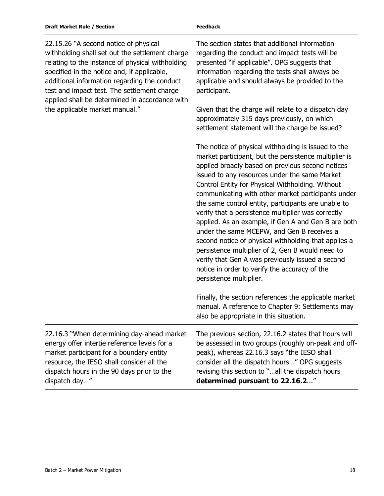| <b>Draft Market Rule / Section</b>                                                                                                                                                                                                                                                                                                                                             | <b>Feedback</b>                                                                                                                                                                                                                                                                                                                                                                                                                                                                                                                                                                                                                                                                                                                                                                                                                                                                                         |
|--------------------------------------------------------------------------------------------------------------------------------------------------------------------------------------------------------------------------------------------------------------------------------------------------------------------------------------------------------------------------------|---------------------------------------------------------------------------------------------------------------------------------------------------------------------------------------------------------------------------------------------------------------------------------------------------------------------------------------------------------------------------------------------------------------------------------------------------------------------------------------------------------------------------------------------------------------------------------------------------------------------------------------------------------------------------------------------------------------------------------------------------------------------------------------------------------------------------------------------------------------------------------------------------------|
| 22.15.26 "A second notice of physical<br>withholding shall set out the settlement charge<br>relating to the instance of physical withholding<br>specified in the notice and, if applicable,<br>additional information regarding the conduct<br>test and impact test. The settlement charge<br>applied shall be determined in accordance with<br>the applicable market manual." | The section states that additional information<br>regarding the conduct and impact tests will be<br>presented "if applicable". OPG suggests that<br>information regarding the tests shall always be<br>applicable and should always be provided to the<br>participant.<br>Given that the charge will relate to a dispatch day                                                                                                                                                                                                                                                                                                                                                                                                                                                                                                                                                                           |
|                                                                                                                                                                                                                                                                                                                                                                                | approximately 315 days previously, on which<br>settlement statement will the charge be issued?                                                                                                                                                                                                                                                                                                                                                                                                                                                                                                                                                                                                                                                                                                                                                                                                          |
|                                                                                                                                                                                                                                                                                                                                                                                | The notice of physical withholding is issued to the<br>market participant, but the persistence multiplier is<br>applied broadly based on previous second notices<br>issued to any resources under the same Market<br>Control Entity for Physical Withholding. Without<br>communicating with other market participants under<br>the same control entity, participants are unable to<br>verify that a persistence multiplier was correctly<br>applied. As an example, if Gen A and Gen B are both<br>under the same MCEPW, and Gen B receives a<br>second notice of physical withholding that applies a<br>persistence multiplier of 2, Gen B would need to<br>verify that Gen A was previously issued a second<br>notice in order to verify the accuracy of the<br>persistence multiplier.<br>Finally, the section references the applicable market<br>manual. A reference to Chapter 9: Settlements may |
|                                                                                                                                                                                                                                                                                                                                                                                | also be appropriate in this situation.                                                                                                                                                                                                                                                                                                                                                                                                                                                                                                                                                                                                                                                                                                                                                                                                                                                                  |
| 22.16.3 "When determining day-ahead market<br>energy offer intertie reference levels for a<br>market participant for a boundary entity<br>resource, the IESO shall consider all the<br>dispatch hours in the 90 days prior to the<br>dispatch day"                                                                                                                             | The previous section, 22.16.2 states that hours will<br>be assessed in two groups (roughly on-peak and off-<br>peak), whereas 22.16.3 says "the IESO shall<br>consider all the dispatch hours" OPG suggests<br>revising this section to "all the dispatch hours<br>determined pursuant to 22.16.2"                                                                                                                                                                                                                                                                                                                                                                                                                                                                                                                                                                                                      |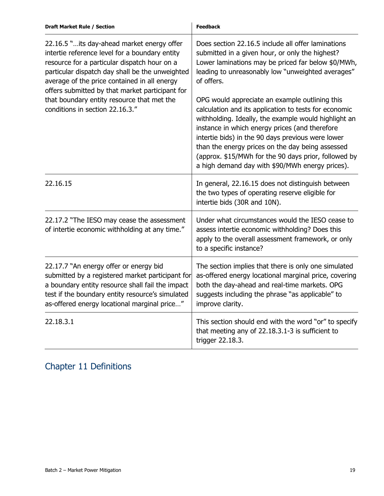| <b>Draft Market Rule / Section</b>                                                                                                                                                                                                                                                                                                                                                   | <b>Feedback</b>                                                                                                                                                                                                                                                                                                                                                                                                                                                                                                                                                                                                      |
|--------------------------------------------------------------------------------------------------------------------------------------------------------------------------------------------------------------------------------------------------------------------------------------------------------------------------------------------------------------------------------------|----------------------------------------------------------------------------------------------------------------------------------------------------------------------------------------------------------------------------------------------------------------------------------------------------------------------------------------------------------------------------------------------------------------------------------------------------------------------------------------------------------------------------------------------------------------------------------------------------------------------|
| 22.16.5 " its day-ahead market energy offer<br>intertie reference level for a boundary entity<br>resource for a particular dispatch hour on a<br>particular dispatch day shall be the unweighted<br>average of the price contained in all energy<br>offers submitted by that market participant for<br>that boundary entity resource that met the<br>conditions in section 22.16.3." | Does section 22.16.5 include all offer laminations<br>submitted in a given hour, or only the highest?<br>Lower laminations may be priced far below \$0/MWh,<br>leading to unreasonably low "unweighted averages"<br>of offers.<br>OPG would appreciate an example outlining this<br>calculation and its application to tests for economic<br>withholding. Ideally, the example would highlight an<br>instance in which energy prices (and therefore<br>intertie bids) in the 90 days previous were lower<br>than the energy prices on the day being assessed<br>(approx. \$15/MWh for the 90 days prior, followed by |
|                                                                                                                                                                                                                                                                                                                                                                                      | a high demand day with \$90/MWh energy prices).                                                                                                                                                                                                                                                                                                                                                                                                                                                                                                                                                                      |
| 22.16.15                                                                                                                                                                                                                                                                                                                                                                             | In general, 22.16.15 does not distinguish between<br>the two types of operating reserve eligible for<br>intertie bids (30R and 10N).                                                                                                                                                                                                                                                                                                                                                                                                                                                                                 |
| 22.17.2 "The IESO may cease the assessment<br>of intertie economic withholding at any time."                                                                                                                                                                                                                                                                                         | Under what circumstances would the IESO cease to<br>assess intertie economic withholding? Does this<br>apply to the overall assessment framework, or only<br>to a specific instance?                                                                                                                                                                                                                                                                                                                                                                                                                                 |
| 22.17.7 "An energy offer or energy bid<br>submitted by a registered market participant for<br>a boundary entity resource shall fail the impact<br>test if the boundary entity resource's simulated<br>as-offered energy locational marginal price"                                                                                                                                   | The section implies that there is only one simulated<br>as-offered energy locational marginal price, covering<br>both the day-ahead and real-time markets. OPG<br>suggests including the phrase "as applicable" to<br>improve clarity.                                                                                                                                                                                                                                                                                                                                                                               |
| 22.18.3.1                                                                                                                                                                                                                                                                                                                                                                            | This section should end with the word "or" to specify<br>that meeting any of 22.18.3.1-3 is sufficient to<br>trigger 22.18.3.                                                                                                                                                                                                                                                                                                                                                                                                                                                                                        |

### Chapter 11 Definitions